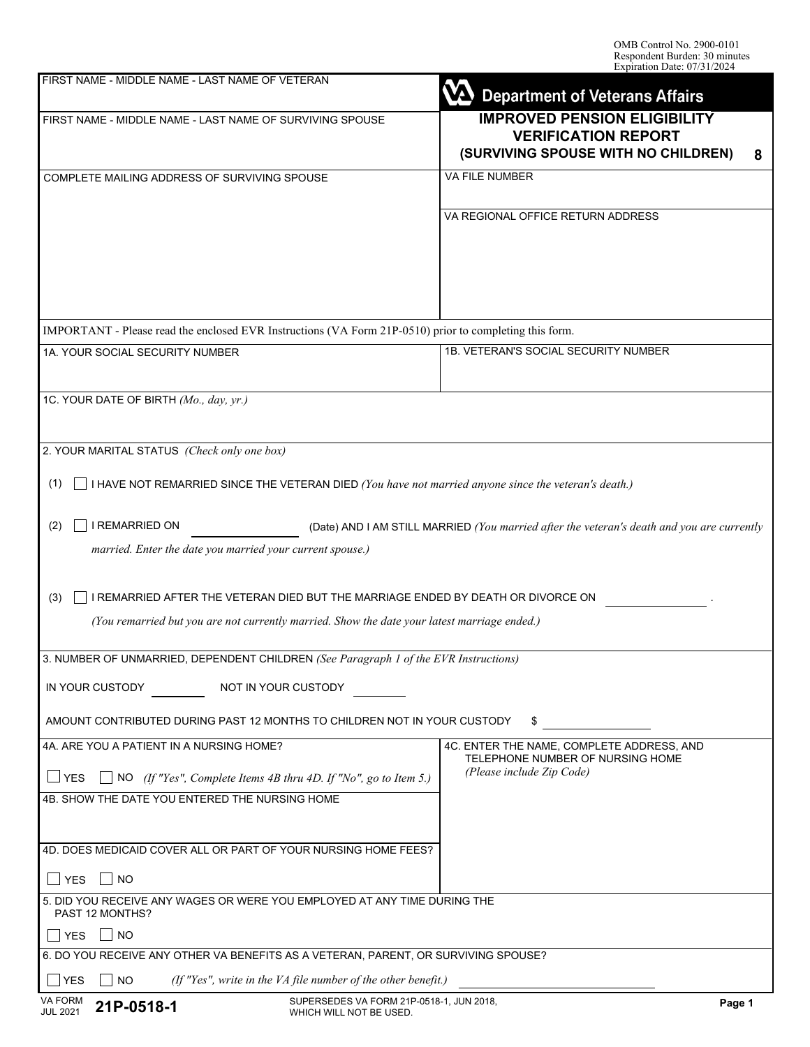| FIRST NAME - MIDDLE NAME - LAST NAME OF VETERAN                                                                                                                                         | <b>Department of Veterans Affairs</b>                                                                         |  |  |  |
|-----------------------------------------------------------------------------------------------------------------------------------------------------------------------------------------|---------------------------------------------------------------------------------------------------------------|--|--|--|
| FIRST NAME - MIDDLE NAME - LAST NAME OF SURVIVING SPOUSE                                                                                                                                | <b>IMPROVED PENSION ELIGIBILITY</b><br><b>VERIFICATION REPORT</b><br>(SURVIVING SPOUSE WITH NO CHILDREN)<br>8 |  |  |  |
| COMPLETE MAILING ADDRESS OF SURVIVING SPOUSE                                                                                                                                            | <b>VA FILE NUMBER</b>                                                                                         |  |  |  |
|                                                                                                                                                                                         | VA REGIONAL OFFICE RETURN ADDRESS                                                                             |  |  |  |
| IMPORTANT - Please read the enclosed EVR Instructions (VA Form 21P-0510) prior to completing this form.                                                                                 |                                                                                                               |  |  |  |
| 1A. YOUR SOCIAL SECURITY NUMBER                                                                                                                                                         | 1B. VETERAN'S SOCIAL SECURITY NUMBER                                                                          |  |  |  |
| 1C. YOUR DATE OF BIRTH (Mo., day, yr.)                                                                                                                                                  |                                                                                                               |  |  |  |
| 2. YOUR MARITAL STATUS (Check only one box)                                                                                                                                             |                                                                                                               |  |  |  |
| I HAVE NOT REMARRIED SINCE THE VETERAN DIED (You have not married anyone since the veteran's death.)<br>(1)                                                                             |                                                                                                               |  |  |  |
| I REMARRIED ON<br>(2)<br>married. Enter the date you married your current spouse.)                                                                                                      | (Date) AND I AM STILL MARRIED (You married after the veteran's death and you are currently                    |  |  |  |
| I REMARRIED AFTER THE VETERAN DIED BUT THE MARRIAGE ENDED BY DEATH OR DIVORCE ON<br>(3)<br>(You remarried but you are not currently married. Show the date your latest marriage ended.) |                                                                                                               |  |  |  |
| 3. NUMBER OF UNMARRIED, DEPENDENT CHILDREN (See Paragraph 1 of the EVR Instructions)                                                                                                    |                                                                                                               |  |  |  |
| IN YOUR CUSTODY<br>NOT IN YOUR CUSTODY                                                                                                                                                  |                                                                                                               |  |  |  |
| AMOUNT CONTRIBUTED DURING PAST 12 MONTHS TO CHILDREN NOT IN YOUR CUSTODY                                                                                                                | \$                                                                                                            |  |  |  |
| 4A. ARE YOU A PATIENT IN A NURSING HOME?<br>$\Box$ YES<br>$\Box$ NO (If "Yes", Complete Items 4B thru 4D. If "No", go to Item 5.)<br>4B. SHOW THE DATE YOU ENTERED THE NURSING HOME     | 4C. ENTER THE NAME, COMPLETE ADDRESS, AND<br>TELEPHONE NUMBER OF NURSING HOME<br>(Please include Zip Code)    |  |  |  |
| 4D. DOES MEDICAID COVER ALL OR PART OF YOUR NURSING HOME FEES?                                                                                                                          |                                                                                                               |  |  |  |
| <b>NO</b><br><b>YES</b>                                                                                                                                                                 |                                                                                                               |  |  |  |
| 5. DID YOU RECEIVE ANY WAGES OR WERE YOU EMPLOYED AT ANY TIME DURING THE<br><b>PAST 12 MONTHS?</b>                                                                                      |                                                                                                               |  |  |  |
| I NO<br><b>YES</b>                                                                                                                                                                      |                                                                                                               |  |  |  |
| 6. DO YOU RECEIVE ANY OTHER VA BENEFITS AS A VETERAN, PARENT, OR SURVIVING SPOUSE?                                                                                                      |                                                                                                               |  |  |  |
| (If "Yes", write in the VA file number of the other benefit.)<br><b>YES</b><br>NO.<br>VA FORM<br>SUPERSEDES VA FORM 21P-0518-1, JUN 2018,<br>$0.4D$ $0F$ $4O$ $4G$                      | Page 1                                                                                                        |  |  |  |